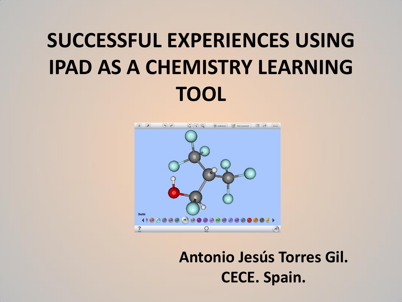# **SUCCESSFUL EXPERIENCES USING IPAD AS A CHEMISTRY LEARNING TOOL**



**Antonio Jesús Torres Gil. CECE. Spain.**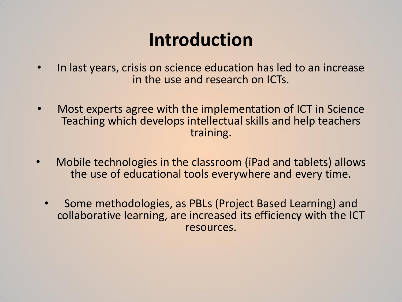### **Introduction**

- In last years, crisis on science education has led to an increase in the use and research on ICTs.
- Most experts agree with the implementation of ICT in Science Teaching which develops intellectual skills and help teachers training.
- Mobile technologies in the classroom (iPad and tablets) allows the use of educational tools everywhere and every time.
	- Some methodologies, as PBLs (Project Based Learning) and collaborative learning, are increased its efficiency with the ICT resources.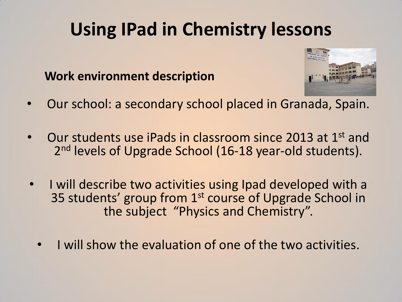### **Work environment description**



- Our school: a secondary school placed in Granada, Spain.
- Our students use iPads in classroom since 2013 at 1st and 2<sup>nd</sup> levels of Upgrade School (16-18 year-old students).
- I will describe two activities using Ipad developed with a 35 students' group from 1<sup>st</sup> course of Upgrade School in the subject "Physics and Chemistry".
	- I will show the evaluation of one of the two activities.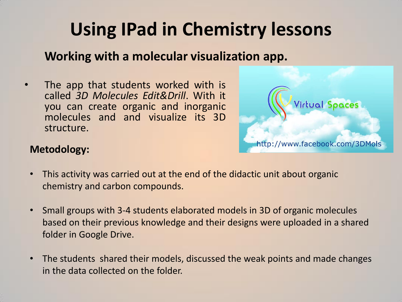### **Working with a molecular visualization app.**

The app that students worked with is called *3D Molecules Edit&Drill*. With it you can create organic and inorganic molecules and and visualize its 3D structure.



#### **Metodology:**

- This activity was carried out at the end of the didactic unit about organic chemistry and carbon compounds.
- Small groups with 3-4 students elaborated models in 3D of organic molecules based on their previous knowledge and their designs were uploaded in a shared folder in Google Drive.
- The students shared their models, discussed the weak points and made changes in the data collected on the folder.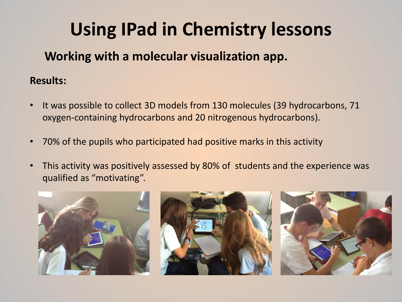### **Working with a molecular visualization app.**

#### **Results:**

- It was possible to collect 3D models from 130 molecules (39 hydrocarbons, 71 oxygen-containing hydrocarbons and 20 nitrogenous hydrocarbons).
- 70% of the pupils who participated had positive marks in this activity
- This activity was positively assessed by 80% of students and the experience was qualified as "motivating".

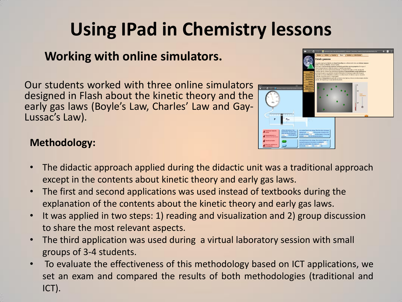### **Working with online simulators.**

Our students worked with three online simulators designed in Flash about the kinetic theory and the early gas laws (Boyle's Law, Charles' Law and Gay-Lussac's Law).



#### **Methodology:**

- The didactic approach applied during the didactic unit was a traditional approach except in the contents about kinetic theory and early gas laws.
- The first and second applications was used instead of textbooks during the explanation of the contents about the kinetic theory and early gas laws.
- It was applied in two steps: 1) reading and visualization and 2) group discussion to share the most relevant aspects.
- The third application was used during a virtual laboratory session with small groups of 3-4 students.
- To evaluate the effectiveness of this methodology based on ICT applications, we set an exam and compared the results of both methodologies (traditional and ICT).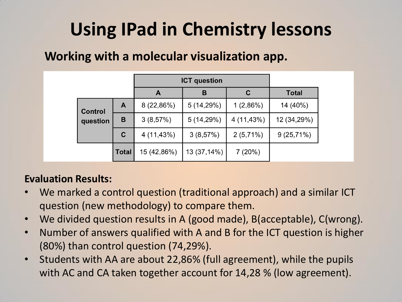### **Working with a molecular visualization app.**

|                            |              | <b>ICT</b> question |             |             |              |
|----------------------------|--------------|---------------------|-------------|-------------|--------------|
|                            |              | A                   | в           | С           | <b>Total</b> |
| <b>Control</b><br>question | A            | 8 (22,86%)          | 5(14,29%)   | 1(2,86%)    | 14 (40%)     |
|                            | В            | 3(8,57%)            | 5(14,29%)   | 4 (11,43%)  | 12 (34,29%)  |
|                            | $\mathbf C$  | 4 (11,43%)          | 3(8,57%)    | $2(5,71\%)$ | $9(25,71\%)$ |
|                            | <b>Total</b> | 15 (42,86%)         | 13 (37,14%) | 7(20%)      |              |

#### **Evaluation Results:**

- We marked a control question (traditional approach) and a similar ICT question (new methodology) to compare them.
- We divided question results in A (good made), B(acceptable), C(wrong).
- Number of answers qualified with A and B for the ICT question is higher (80%) than control question (74,29%).
- Students with AA are about 22,86% (full agreement), while the pupils with AC and CA taken together account for 14,28 % (low agreement).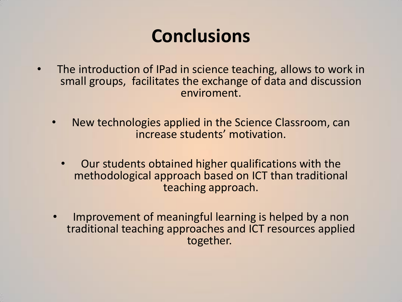## **Conclusions**

- The introduction of IPad in science teaching, allows to work in small groups, facilitates the exchange of data and discussion enviroment.
	- New technologies applied in the Science Classroom, can increase students' motivation.
		- Our students obtained higher qualifications with the methodological approach based on ICT than traditional teaching approach.
	- Improvement of meaningful learning is helped by a non traditional teaching approaches and ICT resources applied together.